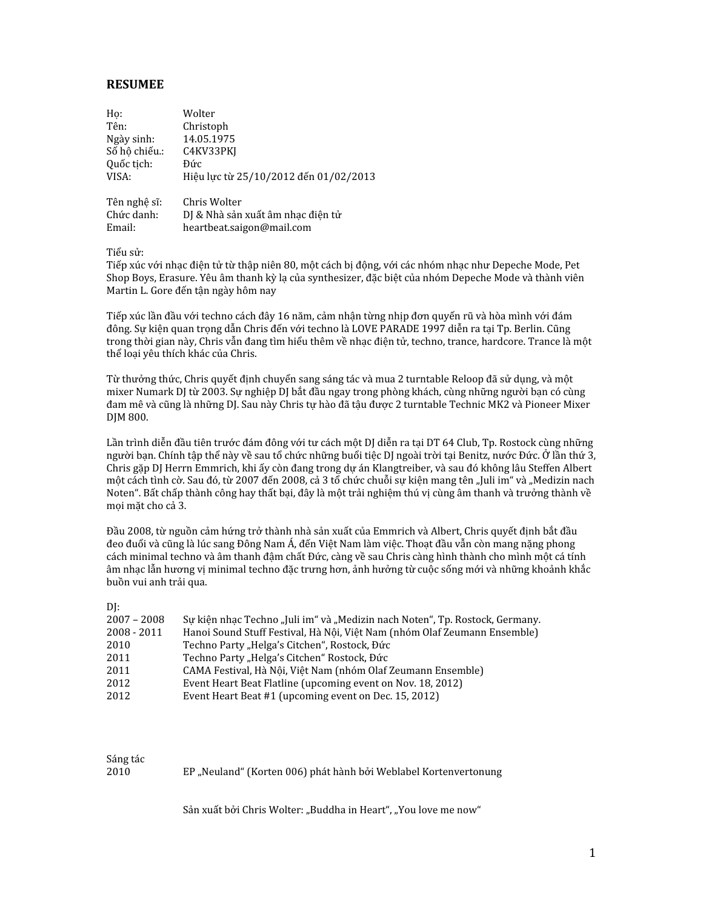## **RESUMEE**

| Ho:           | Wolter                                |
|---------------|---------------------------------------|
| Tên:          | Christoph                             |
| Ngày sinh:    | 14.05.1975                            |
| Số hô chiếu.: | C4KV33PKJ                             |
| Quốc tịch:    | Đức                                   |
| VISA:         | Hiệu lực từ 25/10/2012 đến 01/02/2013 |
| Tên nghệ sĩ:  | Chris Wolter                          |
| Chức danh:    | DJ & Nhà sản xuất âm nhạc điện tử     |
| Email:        |                                       |
|               | heartbeat.saigon@mail.com             |

Tiểu sử:

Tiếp xúc với nhạc điện tử từ thập niên 80, một cách bị động, với các nhóm nhạc như Depeche Mode, Pet Shop Boys, Erasure. Yêu âm thanh kỳ lạ của synthesizer, đặc biệt của nhóm Depeche Mode và thành viên Martin L. Gore đến tân ngày hôm nay

Tiếp xúc lần đầu với techno cách đây 16 năm, cảm nhận từng nhịp đơn quyển rũ và hòa mình với đám đông. Sự kiện quan trọng dẫn Chris đến với techno là LOVE PARADE 1997 diễn ra tại Tp. Berlin. Cũng trong thời gian này, Chris vẫn đang tìm hiểu thêm về nhạc điện tử, techno, trance, hardcore. Trance là một thể loại yêu thích khác của Chris.

Từ thưởng thức, Chris quyết định chuyển sang sáng tác và mua 2 turntable Reloop đã sử dụng, và một mixer Numark DJ từ 2003. Sự nghiệp DJ bắt đầu ngay trong phòng khách, cùng những người bạn có cùng đam mê và cũng là những DJ. Sau này Chris tự hào đã tậu được 2 turntable Technic MK2 và Pioneer Mixer DJM 800.

Lần trình diễn đầu tiên trước đám đông với tư cách một DJ diễn ra tai DT 64 Club, Tp. Rostock cùng những người ban. Chính tâp thể này về sau tổ chức những buổi tiêc DJ ngoài trời tai Benitz, nước Đức. Ở lần thứ 3, Chris gặp DJ Herrn Emmrich, khi ấy còn đang trong dự án Klangtreiber, và sau đó không lâu Steffen Albert một cách tình cờ. Sau đó, từ 2007 đến 2008, cả 3 tổ chức chuỗi sự kiện mang tên "Juli im" và "Medizin nach Noten". Bất chấp thành công hay thất bại, đây là một trải nghiệm thú vị cùng âm thanh và trưởng thành về moi măt cho cả 3.

Đầu 2008, từ nguồn cảm hứng trở thành nhà sản xuất của Emmrich và Albert, Chris quyết định bắt đầu đeo đuổi và cũng là lúc sang Đông Nam Á, đến Việt Nam làm việc. Thoạt đầu vẫn còn mang nặng phong cách minimal techno và âm thanh đậm chất Đức, càng về sau Chris càng hình thành cho mình một cá tính âm nhạc lẫn hương vị minimal techno đặc trưng hơn, ảnh hưởng từ cuộc sống mới và những khoảnh khắc buồn vui anh trải qua.

| I<br>I<br>۰. |  |
|--------------|--|
| ۹            |  |

| ້             |                                                                              |
|---------------|------------------------------------------------------------------------------|
| $2007 - 2008$ | Su kiên nhac Techno "Juli im" và "Medizin nach Noten", Tp. Rostock, Germany. |
| $2008 - 2011$ | Hanoi Sound Stuff Festival, Hà Nôi, Việt Nam (nhóm Olaf Zeumann Ensemble)    |
| 2010          | Techno Party "Helga's Citchen", Rostock, Đức                                 |
| 2011          | Techno Party "Helga's Citchen" Rostock, Đức                                  |
| 2011          | CAMA Festival, Hà Nội, Việt Nam (nhóm Olaf Zeumann Ensemble)                 |
| 2012          | Event Heart Beat Flatline (upcoming event on Nov. 18, 2012)                  |
| 2012          | Event Heart Beat #1 (upcoming event on Dec. 15, 2012)                        |

Sáng tác 2010

EP "Neuland" (Korten 006) phát hành bởi Weblabel Kortenvertonung

Sản xuất bởi Chris Wolter: "Buddha in Heart", "You love me now"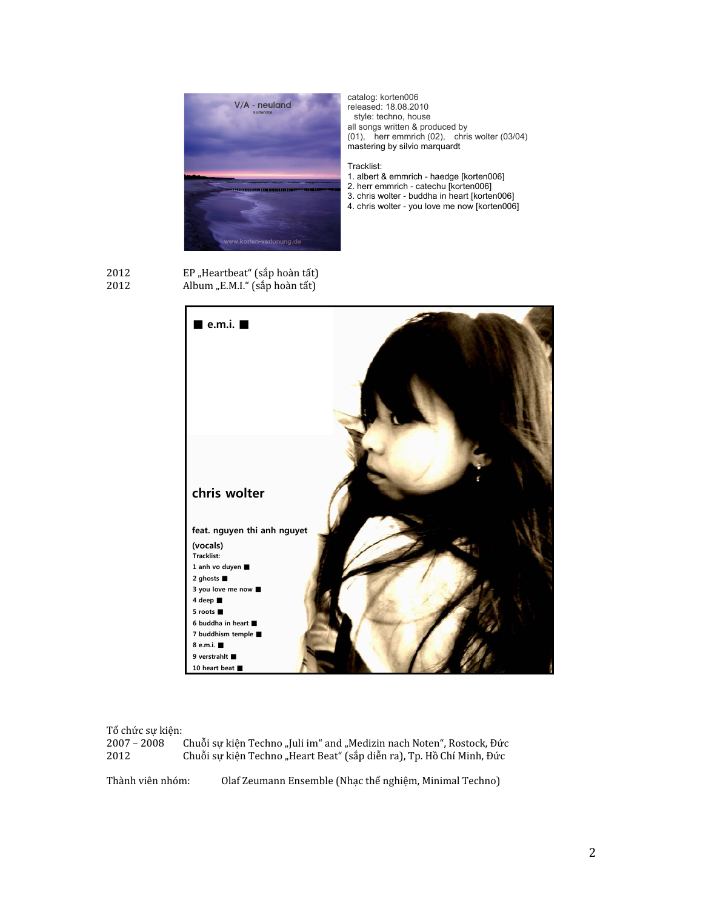

catalog: korten006 released: 18.08.2010<br>style: techno, house all songs written & produced by  $(01)$ , herr emmrich  $(02)$ , chris wolter  $(03/04)$ mastering by silvio marquardt

## Tracklist:

- 1. albert & emmrich haedge [korten006]
- 2. herr emmrich catechu [Korten006]
- 3. chris wolter buddha in heart [korten006]
- 4. chris wolter you love me now [korten006]

2012 2012



## Tổ chức sự kiện:

 $2007 - 2008$ Chuỗi sự kiện Techno "Juli im" and "Medizin nach Noten", Rostock, Đức 2012 Chuỗi sự kiện Techno "Heart Beat" (sắp diễn ra), Tp. Hồ Chí Minh, Đức

Thành viên nhóm:

Olaf Zeumann Ensemble (Nhạc thể nghiệm, Minimal Techno)